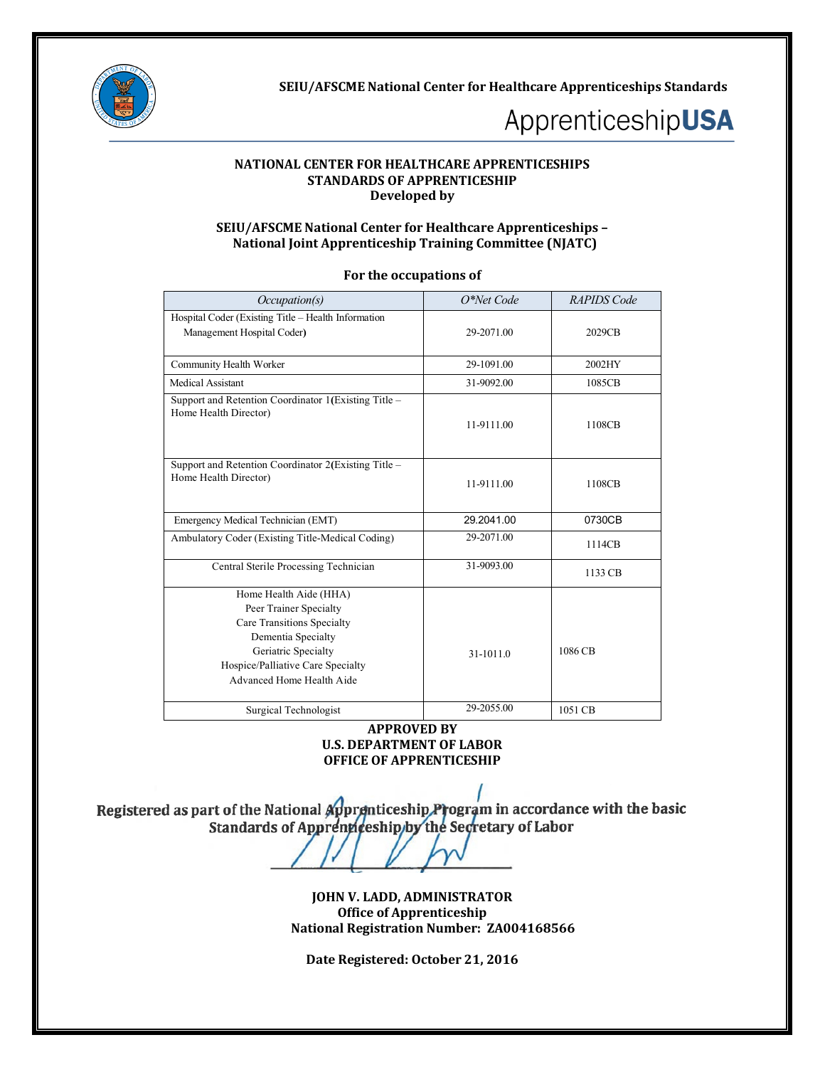

**SEIU/AFSCME National Center for Healthcare Apprenticeships Standards** 

# ApprenticeshipUSA

#### **NATIONAL CENTER FOR HEALTHCARE APPRENTICESHIPS STANDARDS OF APPRENTICESHIP Developed** by

#### SEIU/AFSCME National Center for Healthcare Apprenticeships -**National Joint Apprenticeship Training Committee (NJATC)**

For the occupations of

| Occulation(s)                                                                                                                                                                                 | $O^*$ Net Code | RAPIDS Code |
|-----------------------------------------------------------------------------------------------------------------------------------------------------------------------------------------------|----------------|-------------|
| Hospital Coder (Existing Title - Health Information<br>Management Hospital Coder)                                                                                                             | 29-2071.00     | 2029CB      |
| Community Health Worker                                                                                                                                                                       | 29-1091.00     | 2002HY      |
| Medical Assistant                                                                                                                                                                             | 31-9092.00     | 1085CB      |
| Support and Retention Coordinator 1 (Existing Title –<br>Home Health Director)                                                                                                                | 11-9111.00     | 1108CB      |
| Support and Retention Coordinator 2(Existing Title -<br>Home Health Director)                                                                                                                 | 11-9111.00     | 1108CB      |
| Emergency Medical Technician (EMT)                                                                                                                                                            | 29.2041.00     | 0730CB      |
| Ambulatory Coder (Existing Title-Medical Coding)                                                                                                                                              | 29-2071.00     | 1114CB      |
| Central Sterile Processing Technician                                                                                                                                                         | 31-9093.00     | 1133 CB     |
| Home Health Aide (HHA)<br>Peer Trainer Specialty<br>Care Transitions Specialty<br>Dementia Specialty<br>Geriatric Specialty<br>Hospice/Palliative Care Specialty<br>Advanced Home Health Aide | 31-1011.0      | 1086 CB     |
| Surgical Technologist                                                                                                                                                                         | 29-2055.00     | 1051 CB     |

#### **APPROVED BY U.S. DEPARTMENT OF LABOR OFFICE OF APPRENTICESHIP**

Registered as part of the National  $\mathcal{A}$ prenticeship Program in accordance with the basic Standards of Apprenticeship/by the Secretary of Labor

> **JOHN V. LADD, ADMINISTRATOR Office of Apprenticeship National Registration Number: ZA004168566**

Date Registered: October 21, 2016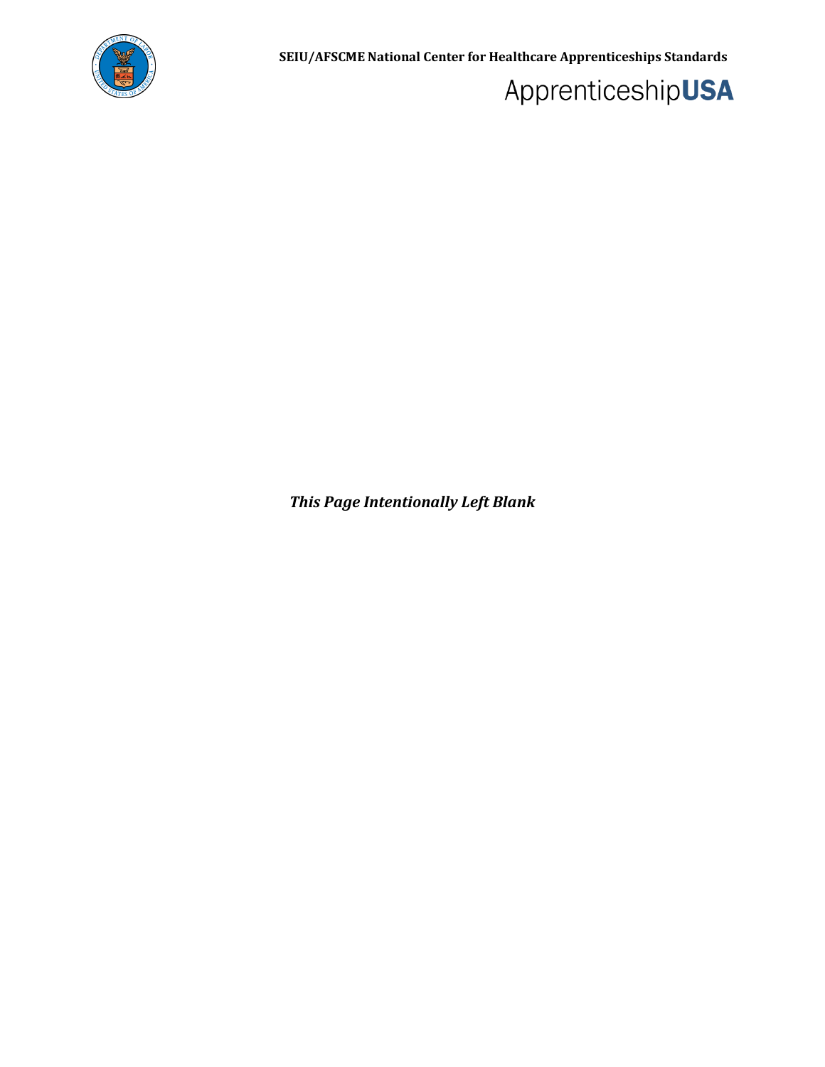

*This Page Intentionally Left Blank*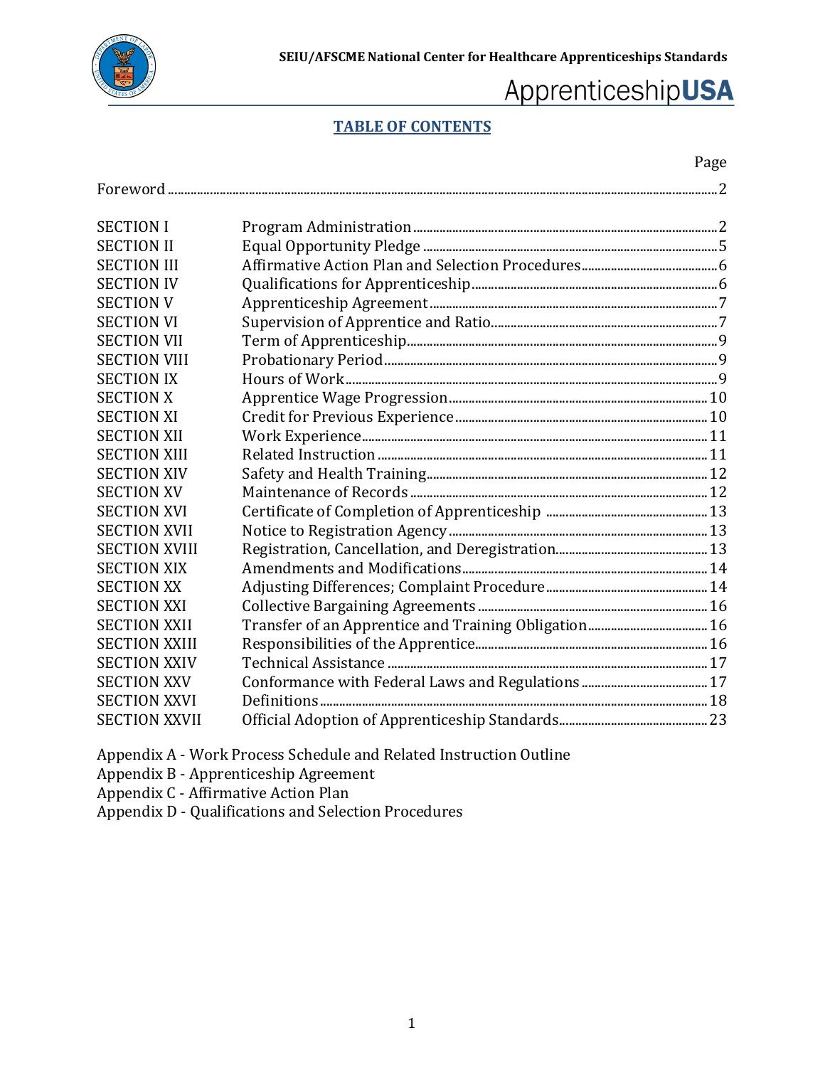

#### **TABLE OF CONTENTS**

| <b>SECTION I</b>     |  |
|----------------------|--|
| <b>SECTION II</b>    |  |
| <b>SECTION III</b>   |  |
| <b>SECTION IV</b>    |  |
| <b>SECTION V</b>     |  |
| <b>SECTION VI</b>    |  |
| <b>SECTION VII</b>   |  |
| <b>SECTION VIII</b>  |  |
| <b>SECTION IX</b>    |  |
| <b>SECTION X</b>     |  |
| <b>SECTION XI</b>    |  |
| <b>SECTION XII</b>   |  |
| <b>SECTION XIII</b>  |  |
| <b>SECTION XIV</b>   |  |
| <b>SECTION XV</b>    |  |
| <b>SECTION XVI</b>   |  |
| <b>SECTION XVII</b>  |  |
| <b>SECTION XVIII</b> |  |
| <b>SECTION XIX</b>   |  |
| <b>SECTION XX</b>    |  |
| <b>SECTION XXI</b>   |  |
| <b>SECTION XXII</b>  |  |
| <b>SECTION XXIII</b> |  |
| <b>SECTION XXIV</b>  |  |
| <b>SECTION XXV</b>   |  |
| <b>SECTION XXVI</b>  |  |
| <b>SECTION XXVII</b> |  |
|                      |  |

Appendix A - Work Process Schedule and Related Instruction Outline

Appendix B - Apprenticeship Agreement

Appendix C - Affirmative Action Plan

Appendix D - Qualifications and Selection Procedures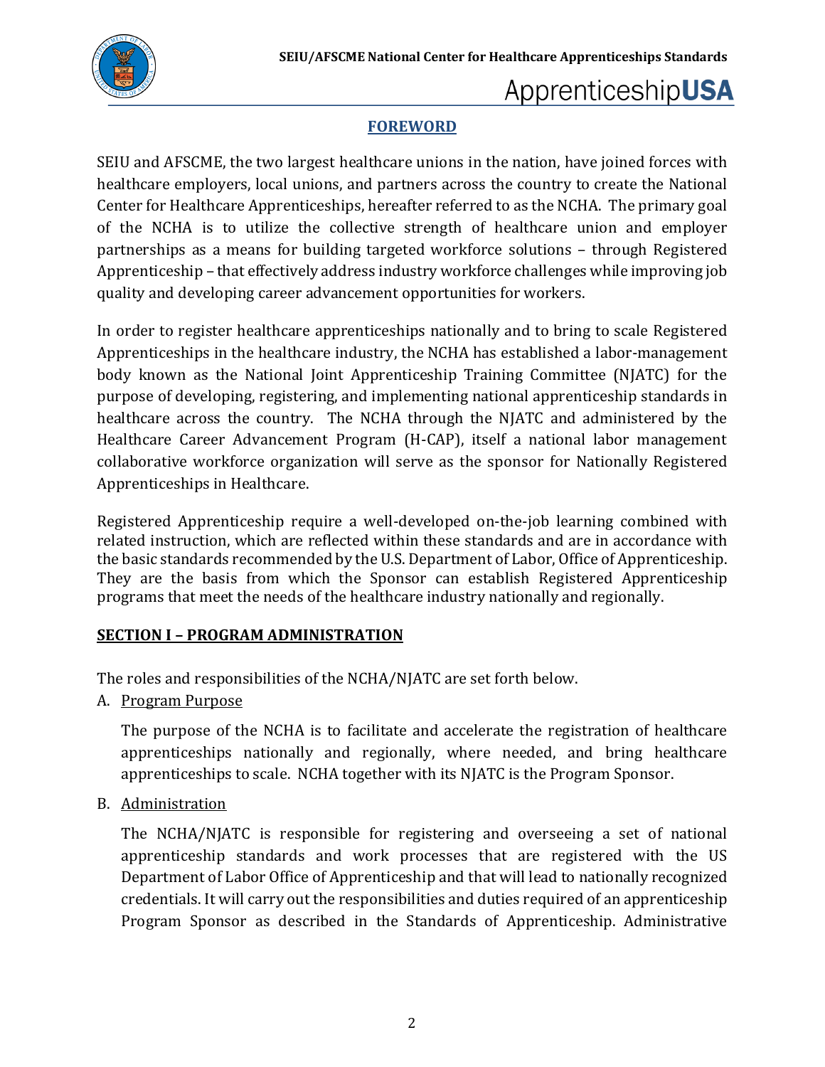

### **FOREWORD**

SEIU and AFSCME, the two largest healthcare unions in the nation, have joined forces with healthcare employers, local unions, and partners across the country to create the National Center for Healthcare Apprenticeships, hereafter referred to as the NCHA. The primary goal of the NCHA is to utilize the collective strength of healthcare union and employer partnerships as a means for building targeted workforce solutions - through Registered Apprenticeship – that effectively address industry workforce challenges while improving job quality and developing career advancement opportunities for workers.

In order to register healthcare apprenticeships nationally and to bring to scale Registered Apprenticeships in the healthcare industry, the NCHA has established a labor-management body known as the National Joint Apprenticeship Training Committee (NJATC) for the purpose of developing, registering, and implementing national apprenticeship standards in healthcare across the country. The NCHA through the NJATC and administered by the Healthcare Career Advancement Program (H-CAP), itself a national labor management collaborative workforce organization will serve as the sponsor for Nationally Registered Apprenticeships in Healthcare.

Registered Apprenticeship require a well-developed on-the-job learning combined with related instruction, which are reflected within these standards and are in accordance with the basic standards recommended by the U.S. Department of Labor, Office of Apprenticeship. They are the basis from which the Sponsor can establish Registered Apprenticeship programs that meet the needs of the healthcare industry nationally and regionally.

#### **SECTION I - PROGRAM ADMINISTRATION**

The roles and responsibilities of the NCHA/NJATC are set forth below.

A. Program Purpose

The purpose of the NCHA is to facilitate and accelerate the registration of healthcare apprenticeships nationally and regionally, where needed, and bring healthcare apprenticeships to scale. NCHA together with its NJATC is the Program Sponsor.

B. Administration

The NCHA/NJATC is responsible for registering and overseeing a set of national apprenticeship standards and work processes that are registered with the US Department of Labor Office of Apprenticeship and that will lead to nationally recognized credentials. It will carry out the responsibilities and duties required of an apprenticeship Program Sponsor as described in the Standards of Apprenticeship. Administrative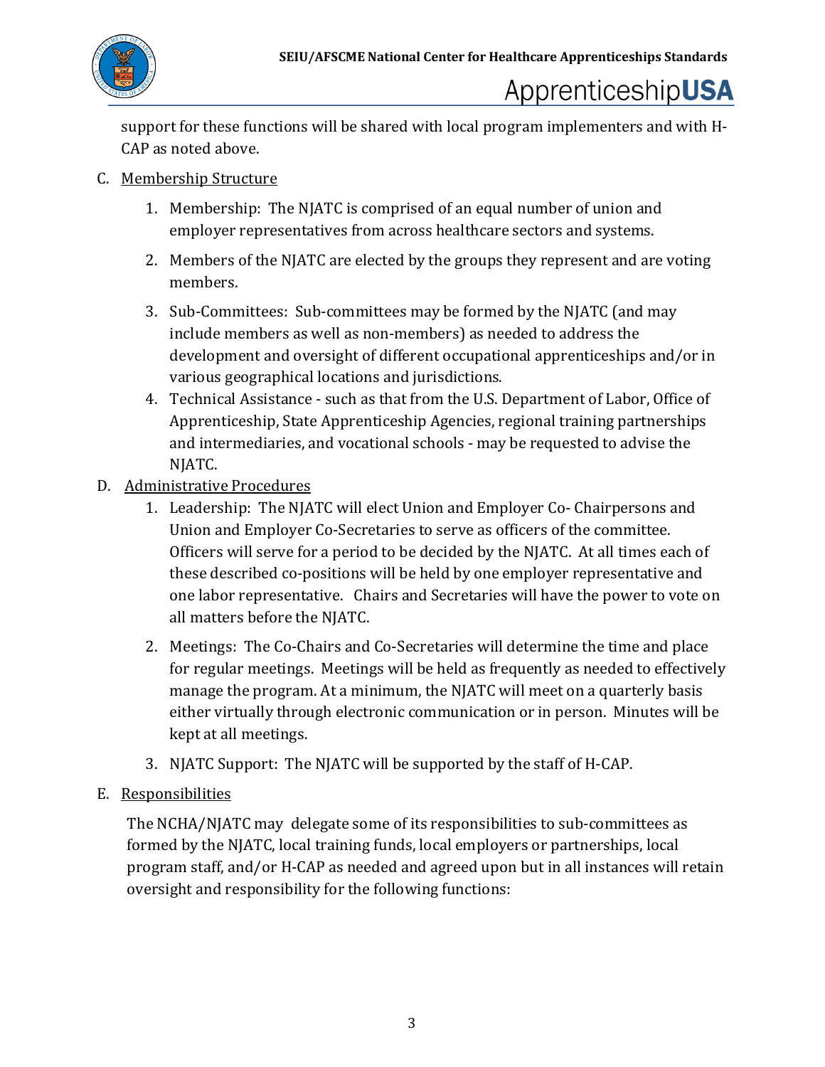

support for these functions will be shared with local program implementers and with H-CAP as noted above.

- C. Membership Structure
	- 1. Membership: The NJATC is comprised of an equal number of union and employer representatives from across healthcare sectors and systems.
	- 2. Members of the NJATC are elected by the groups they represent and are voting members.
	- 3. Sub-Committees: Sub-committees may be formed by the NJATC (and may include members as well as non-members) as needed to address the development and oversight of different occupational apprenticeships and/or in various geographical locations and jurisdictions.
	- 4. Technical Assistance such as that from the U.S. Department of Labor, Office of Apprenticeship, State Apprenticeship Agencies, regional training partnerships and intermediaries, and vocational schools - may be requested to advise the NJATC.
- D. Administrative Procedures
	- 1. Leadership: The NJATC will elect Union and Employer Co- Chairpersons and Union and Employer Co-Secretaries to serve as officers of the committee. Officers will serve for a period to be decided by the NJATC. At all times each of these described co-positions will be held by one employer representative and one labor representative. Chairs and Secretaries will have the power to vote on all matters before the NJATC.
	- 2. Meetings: The Co-Chairs and Co-Secretaries will determine the time and place for regular meetings. Meetings will be held as frequently as needed to effectively manage the program. At a minimum, the NJATC will meet on a quarterly basis either virtually through electronic communication or in person. Minutes will be kept at all meetings.
	- 3. NJATC Support: The NJATC will be supported by the staff of H-CAP.
- E. Responsibilities

The NCHA/NJATC may delegate some of its responsibilities to sub-committees as formed by the NJATC, local training funds, local employers or partnerships, local program staff, and/or H-CAP as needed and agreed upon but in all instances will retain oversight and responsibility for the following functions: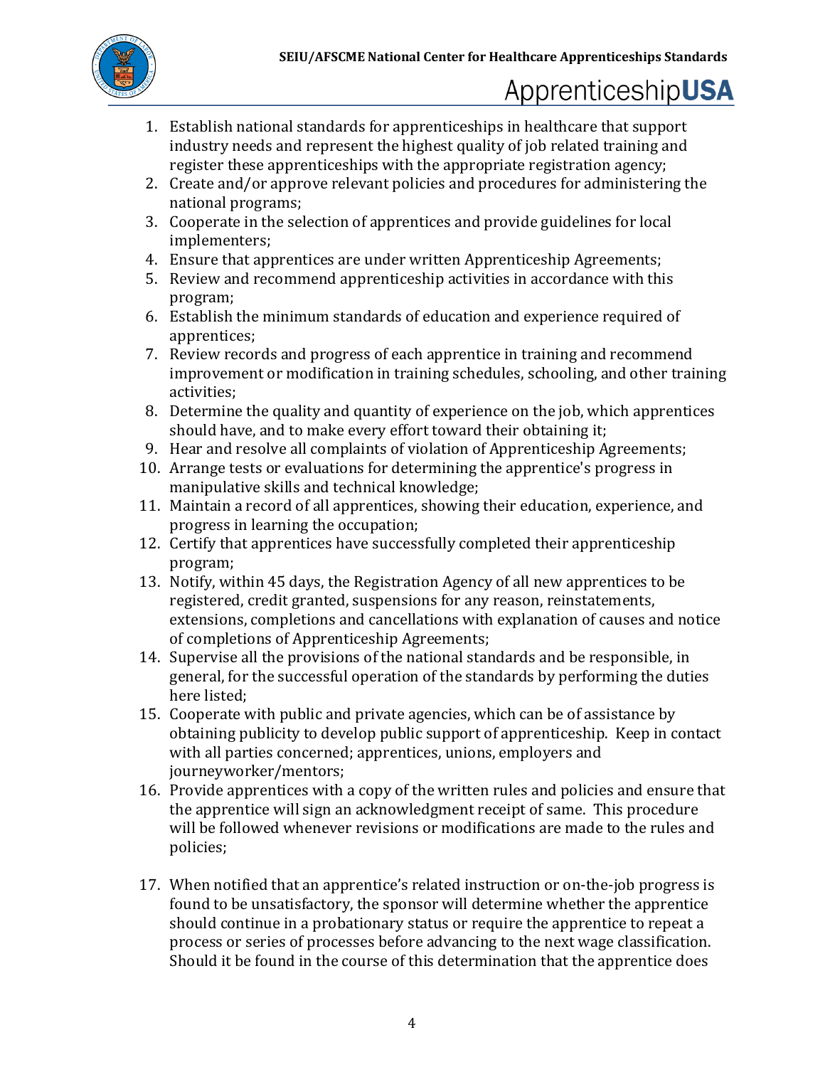

- 1. Establish national standards for apprenticeships in healthcare that support industry needs and represent the highest quality of job related training and register these apprenticeships with the appropriate registration agency;
- 2. Create and/or approve relevant policies and procedures for administering the national programs;
- 3. Cooperate in the selection of apprentices and provide guidelines for local implementers;
- 4. Ensure that apprentices are under written Apprenticeship Agreements;
- 5. Review and recommend apprenticeship activities in accordance with this program;
- 6. Establish the minimum standards of education and experience required of apprentices;
- 7. Review records and progress of each apprentice in training and recommend improvement or modification in training schedules, schooling, and other training activities;
- 8. Determine the quality and quantity of experience on the job, which apprentices should have, and to make every effort toward their obtaining it;
- 9. Hear and resolve all complaints of violation of Apprenticeship Agreements;
- 10. Arrange tests or evaluations for determining the apprentice's progress in manipulative skills and technical knowledge;
- 11. Maintain a record of all apprentices, showing their education, experience, and progress in learning the occupation;
- 12. Certify that apprentices have successfully completed their apprenticeship program;
- 13. Notify, within 45 days, the Registration Agency of all new apprentices to be registered, credit granted, suspensions for any reason, reinstatements, extensions, completions and cancellations with explanation of causes and notice of completions of Apprenticeship Agreements;
- 14. Supervise all the provisions of the national standards and be responsible, in general, for the successful operation of the standards by performing the duties here listed;
- 15. Cooperate with public and private agencies, which can be of assistance by obtaining publicity to develop public support of apprenticeship. Keep in contact with all parties concerned; apprentices, unions, employers and journeyworker/mentors;
- 16. Provide apprentices with a copy of the written rules and policies and ensure that the apprentice will sign an acknowledgment receipt of same. This procedure will be followed whenever revisions or modifications are made to the rules and policies;
- 17. When notified that an apprentice's related instruction or on-the-job progress is found to be unsatisfactory, the sponsor will determine whether the apprentice should continue in a probationary status or require the apprentice to repeat a process or series of processes before advancing to the next wage classification. Should it be found in the course of this determination that the apprentice does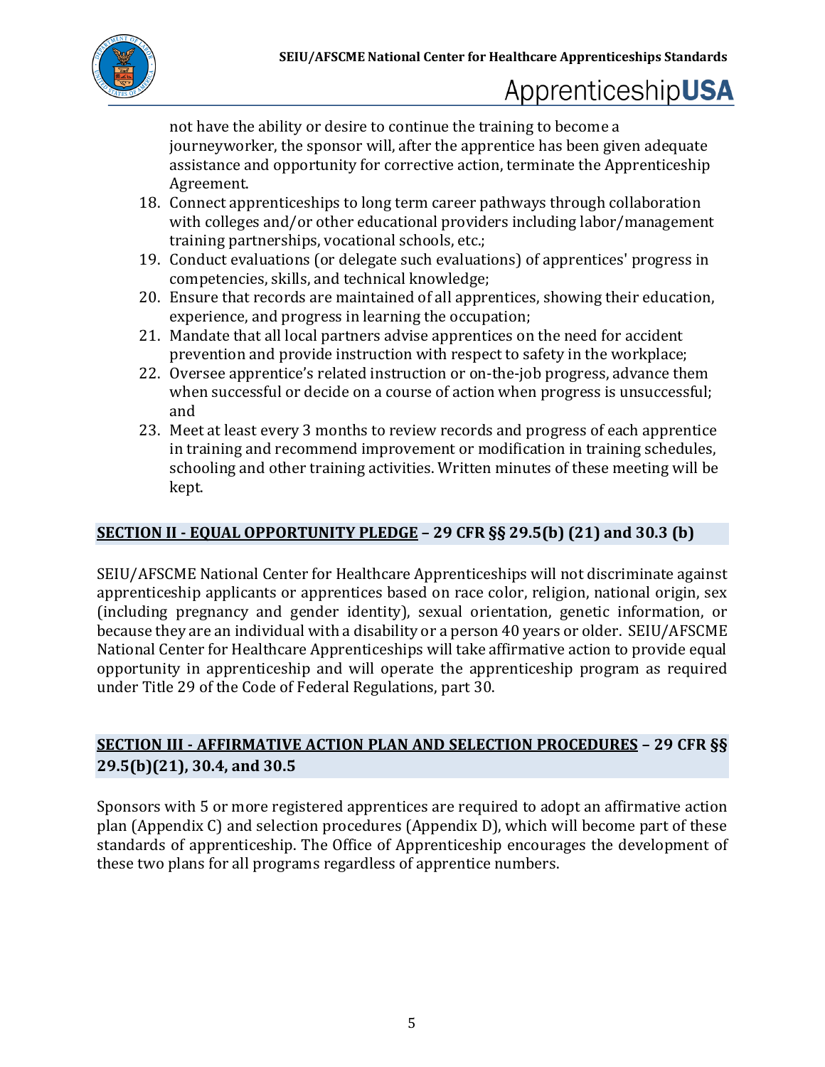

not have the ability or desire to continue the training to become a journeyworker, the sponsor will, after the apprentice has been given adequate assistance and opportunity for corrective action, terminate the Apprenticeship Agreement. 

- 18. Connect apprenticeships to long term career pathways through collaboration with colleges and/or other educational providers including labor/management training partnerships, vocational schools, etc.;
- 19. Conduct evaluations (or delegate such evaluations) of apprentices' progress in competencies, skills, and technical knowledge;
- 20. Ensure that records are maintained of all apprentices, showing their education, experience, and progress in learning the occupation;
- 21. Mandate that all local partners advise apprentices on the need for accident prevention and provide instruction with respect to safety in the workplace;
- 22. Oversee apprentice's related instruction or on-the-job progress, advance them when successful or decide on a course of action when progress is unsuccessful; and
- 23. Meet at least every 3 months to review records and progress of each apprentice in training and recommend improvement or modification in training schedules, schooling and other training activities. Written minutes of these meeting will be kept.

#### **SECTION II - EQUAL OPPORTUNITY PLEDGE** – 29 CFR §§ 29.5(b) (21) and 30.3 (b)

SEIU/AFSCME National Center for Healthcare Apprenticeships will not discriminate against apprenticeship applicants or apprentices based on race color, religion, national origin, sex (including pregnancy and gender identity), sexual orientation, genetic information, or because they are an individual with a disability or a person 40 years or older. SEIU/AFSCME National Center for Healthcare Apprenticeships will take affirmative action to provide equal opportunity in apprenticeship and will operate the apprenticeship program as required under Title 29 of the Code of Federal Regulations, part 30.

#### **SECTION III - AFFIRMATIVE ACTION PLAN AND SELECTION PROCEDURES - 29 CFR §§ 29.5(b)(21), 30.4, and 30.5**

Sponsors with 5 or more registered apprentices are required to adopt an affirmative action plan (Appendix C) and selection procedures (Appendix D), which will become part of these standards of apprenticeship. The Office of Apprenticeship encourages the development of these two plans for all programs regardless of apprentice numbers.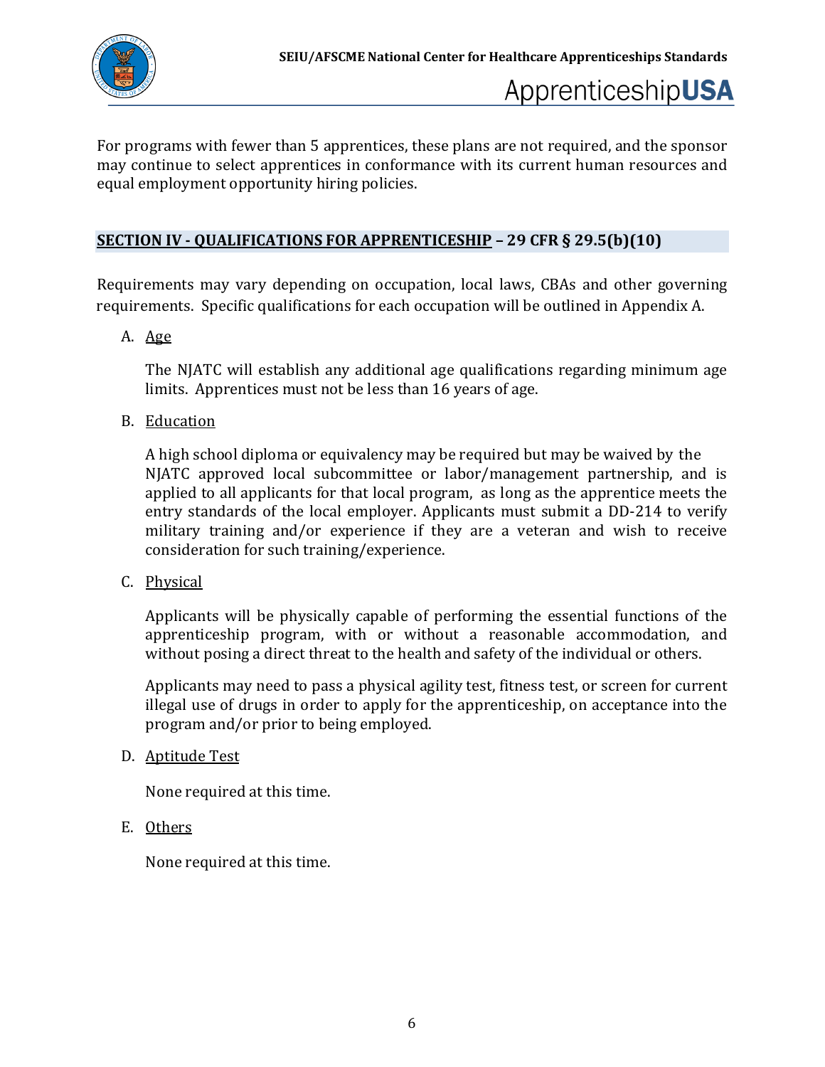

For programs with fewer than 5 apprentices, these plans are not required, and the sponsor may continue to select apprentices in conformance with its current human resources and equal employment opportunity hiring policies.

#### **SECTION IV - QUALIFICATIONS FOR APPRENTICESHIP - 29 CFR § 29.5(b)(10)**

Requirements may vary depending on occupation, local laws, CBAs and other governing requirements. Specific qualifications for each occupation will be outlined in Appendix A.

A. Age

The NJATC will establish any additional age qualifications regarding minimum age limits. Apprentices must not be less than 16 years of age.

B. Education

A high school diploma or equivalency may be required but may be waived by the NJATC approved local subcommittee or labor/management partnership, and is applied to all applicants for that local program, as long as the apprentice meets the entry standards of the local employer. Applicants must submit a DD-214 to verify military training and/or experience if they are a veteran and wish to receive consideration for such training/experience.

C. Physical

Applicants will be physically capable of performing the essential functions of the apprenticeship program, with or without a reasonable accommodation, and without posing a direct threat to the health and safety of the individual or others.

Applicants may need to pass a physical agility test, fitness test, or screen for current illegal use of drugs in order to apply for the apprenticeship, on acceptance into the program and/or prior to being employed.

D. Aptitude Test

None required at this time.

E. Others

None required at this time.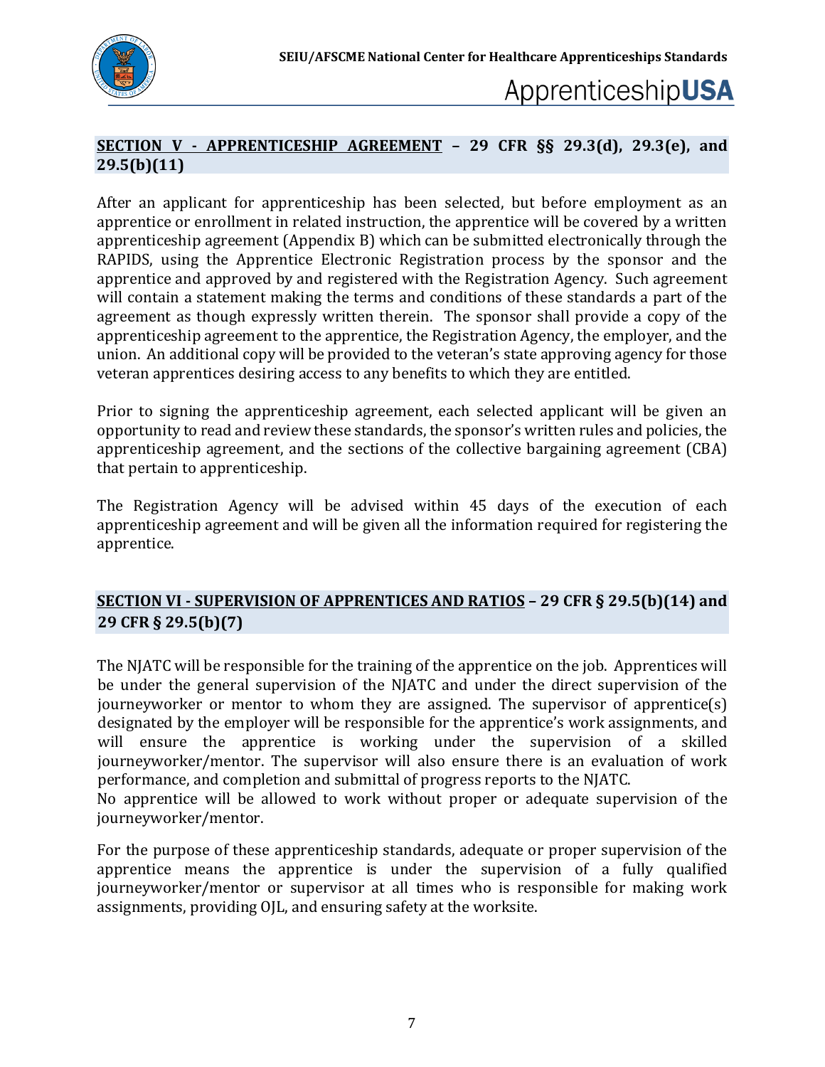

#### **SECTION V - APPRENTICESHIP AGREEMENT** - 29 CFR §§ 29.3(d), 29.3(e), and **29.5(b)(11)**

After an applicant for apprenticeship has been selected, but before employment as an apprentice or enrollment in related instruction, the apprentice will be covered by a written apprenticeship agreement (Appendix B) which can be submitted electronically through the RAPIDS, using the Apprentice Electronic Registration process by the sponsor and the apprentice and approved by and registered with the Registration Agency. Such agreement will contain a statement making the terms and conditions of these standards a part of the agreement as though expressly written therein. The sponsor shall provide a copy of the apprenticeship agreement to the apprentice, the Registration Agency, the employer, and the union. An additional copy will be provided to the veteran's state approving agency for those veteran apprentices desiring access to any benefits to which they are entitled.

Prior to signing the apprenticeship agreement, each selected applicant will be given an opportunity to read and review these standards, the sponsor's written rules and policies, the apprenticeship agreement, and the sections of the collective bargaining agreement (CBA) that pertain to apprenticeship.

The Registration Agency will be advised within 45 days of the execution of each apprenticeship agreement and will be given all the information required for registering the apprentice.

#### **SECTION VI - SUPERVISION OF APPRENTICES AND RATIOS - 29 CFR § 29.5(b)(14) and 29 CFR § 29.5(b)(7)**

The NJATC will be responsible for the training of the apprentice on the job. Apprentices will be under the general supervision of the NJATC and under the direct supervision of the journeyworker or mentor to whom they are assigned. The supervisor of apprentice(s) designated by the employer will be responsible for the apprentice's work assignments, and will ensure the apprentice is working under the supervision of a skilled journeyworker/mentor. The supervisor will also ensure there is an evaluation of work performance, and completion and submittal of progress reports to the NJATC.

No apprentice will be allowed to work without proper or adequate supervision of the journeyworker/mentor.

For the purpose of these apprenticeship standards, adequate or proper supervision of the apprentice means the apprentice is under the supervision of a fully qualified journeyworker/mentor or supervisor at all times who is responsible for making work assignments, providing OJL, and ensuring safety at the worksite.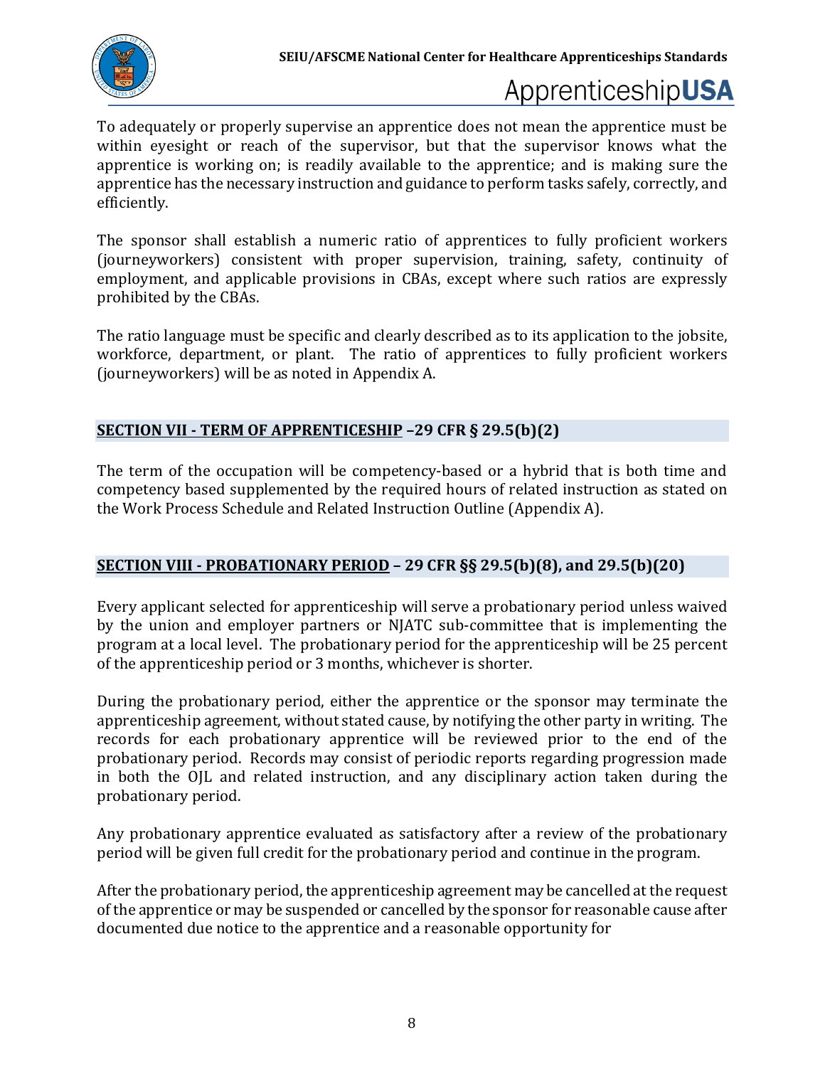

To adequately or properly supervise an apprentice does not mean the apprentice must be within eyesight or reach of the supervisor, but that the supervisor knows what the apprentice is working on; is readily available to the apprentice; and is making sure the apprentice has the necessary instruction and guidance to perform tasks safely, correctly, and efficiently.

The sponsor shall establish a numeric ratio of apprentices to fully proficient workers (journeyworkers) consistent with proper supervision, training, safety, continuity of employment, and applicable provisions in CBAs, except where such ratios are expressly prohibited by the CBAs.

The ratio language must be specific and clearly described as to its application to the jobsite, workforce, department, or plant. The ratio of apprentices to fully proficient workers (journeyworkers) will be as noted in Appendix A.

#### **SECTION VII - TERM OF APPRENTICESHIP** -29 CFR § 29.5(b)(2)

The term of the occupation will be competency-based or a hybrid that is both time and competency based supplemented by the required hours of related instruction as stated on the Work Process Schedule and Related Instruction Outline (Appendix A).

#### **SECTION VIII - PROBATIONARY PERIOD** – 29 CFR §§ 29.5(b)(8), and 29.5(b)(20)

Every applicant selected for apprenticeship will serve a probationary period unless waived by the union and employer partners or NJATC sub-committee that is implementing the program at a local level. The probationary period for the apprenticeship will be 25 percent of the apprenticeship period or 3 months, whichever is shorter.

During the probationary period, either the apprentice or the sponsor may terminate the apprenticeship agreement, without stated cause, by notifying the other party in writing. The records for each probationary apprentice will be reviewed prior to the end of the probationary period. Records may consist of periodic reports regarding progression made in both the OJL and related instruction, and any disciplinary action taken during the probationary period.

Any probationary apprentice evaluated as satisfactory after a review of the probationary period will be given full credit for the probationary period and continue in the program.

After the probationary period, the apprenticeship agreement may be cancelled at the request of the apprentice or may be suspended or cancelled by the sponsor for reasonable cause after documented due notice to the apprentice and a reasonable opportunity for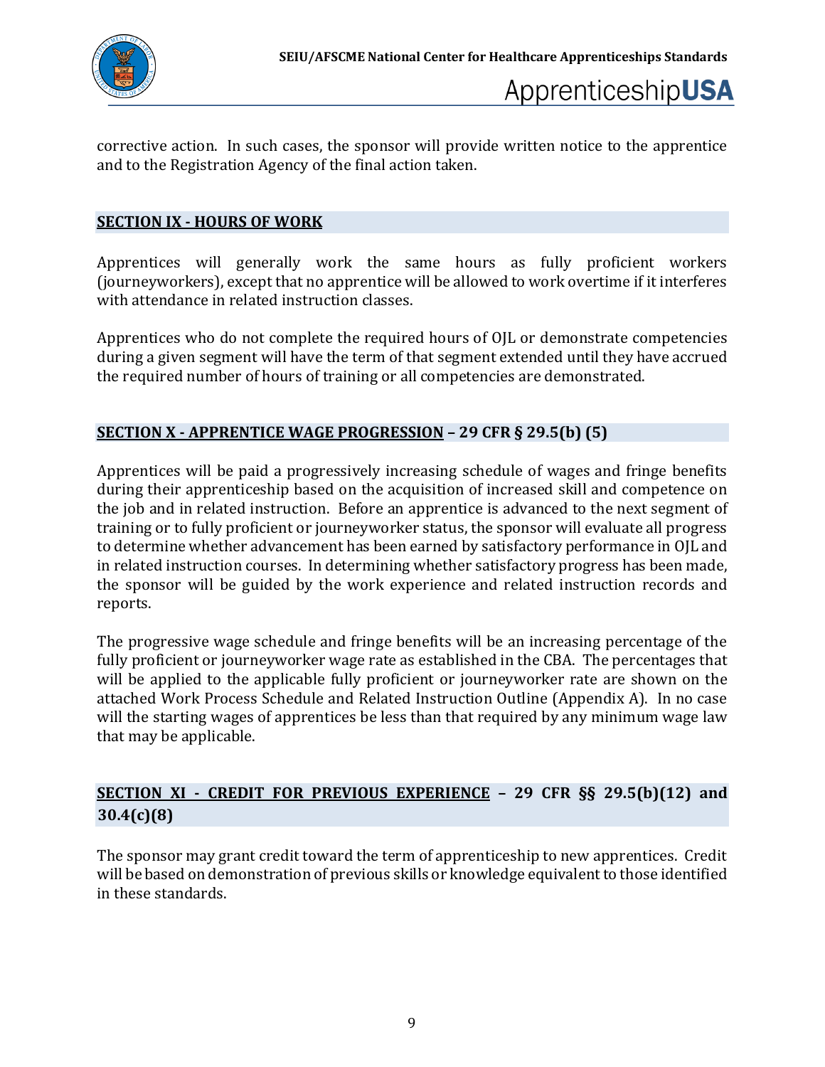

corrective action. In such cases, the sponsor will provide written notice to the apprentice and to the Registration Agency of the final action taken.

#### **SECTION IX - HOURS OF WORK**

Apprentices will generally work the same hours as fully proficient workers (journeyworkers), except that no apprentice will be allowed to work overtime if it interferes with attendance in related instruction classes.

Apprentices who do not complete the required hours of OJL or demonstrate competencies during a given segment will have the term of that segment extended until they have accrued the required number of hours of training or all competencies are demonstrated.

#### **SECTION X - APPRENTICE WAGE PROGRESSION – 29 CFR § 29.5(b) (5)**

Apprentices will be paid a progressively increasing schedule of wages and fringe benefits during their apprenticeship based on the acquisition of increased skill and competence on the job and in related instruction. Before an apprentice is advanced to the next segment of training or to fully proficient or journeyworker status, the sponsor will evaluate all progress to determine whether advancement has been earned by satisfactory performance in OJL and in related instruction courses. In determining whether satisfactory progress has been made, the sponsor will be guided by the work experience and related instruction records and reports.

The progressive wage schedule and fringe benefits will be an increasing percentage of the fully proficient or journeyworker wage rate as established in the CBA. The percentages that will be applied to the applicable fully proficient or journeyworker rate are shown on the attached Work Process Schedule and Related Instruction Outline (Appendix A). In no case will the starting wages of apprentices be less than that required by any minimum wage law that may be applicable.

### **SECTION XI - CREDIT FOR PREVIOUS EXPERIENCE** - 29 CFR §§ 29.5(b)(12) and **30.4(c)(8)**

The sponsor may grant credit toward the term of apprenticeship to new apprentices. Credit will be based on demonstration of previous skills or knowledge equivalent to those identified in these standards.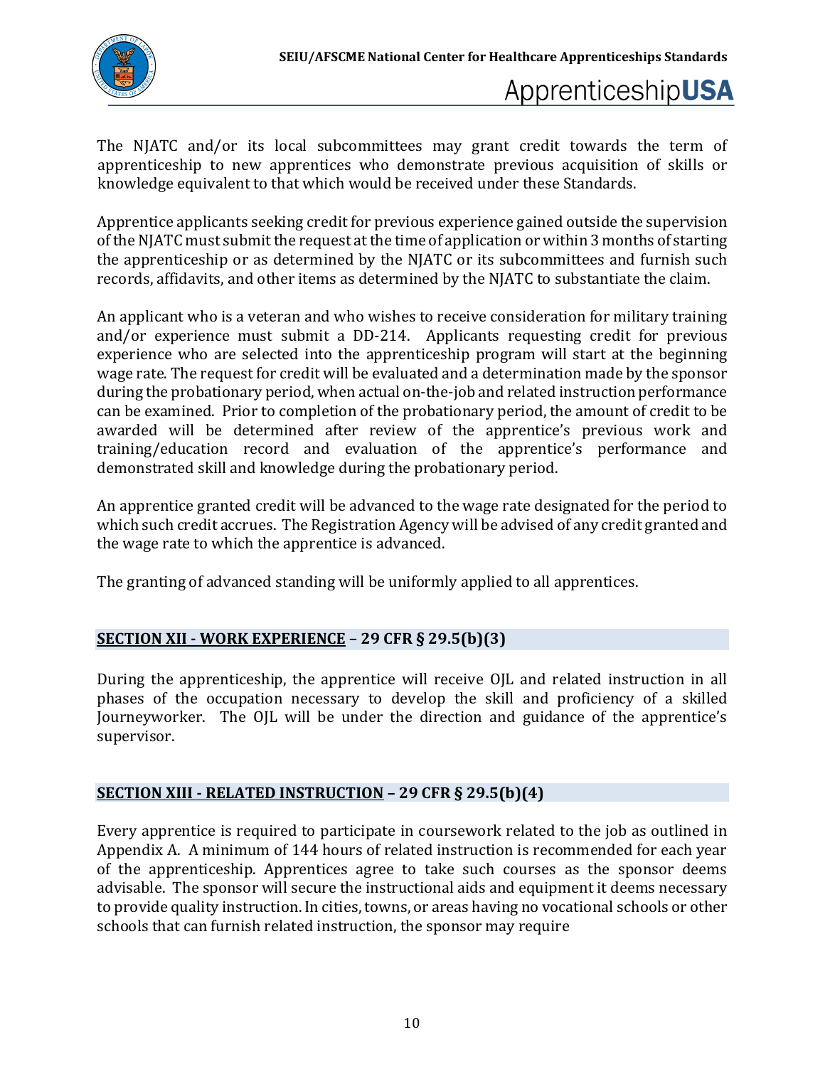

The NIATC and/or its local subcommittees may grant credit towards the term of apprenticeship to new apprentices who demonstrate previous acquisition of skills or knowledge equivalent to that which would be received under these Standards.

Apprentice applicants seeking credit for previous experience gained outside the supervision of the NJATC must submit the request at the time of application or within 3 months of starting the apprenticeship or as determined by the NJATC or its subcommittees and furnish such records, affidavits, and other items as determined by the NJATC to substantiate the claim.

An applicant who is a veteran and who wishes to receive consideration for military training and/or experience must submit a DD-214. Applicants requesting credit for previous experience who are selected into the apprenticeship program will start at the beginning wage rate. The request for credit will be evaluated and a determination made by the sponsor during the probationary period, when actual on-the-job and related instruction performance can be examined. Prior to completion of the probationary period, the amount of credit to be awarded will be determined after review of the apprentice's previous work and training/education record and evaluation of the apprentice's performance and demonstrated skill and knowledge during the probationary period.

An apprentice granted credit will be advanced to the wage rate designated for the period to which such credit accrues. The Registration Agency will be advised of any credit granted and the wage rate to which the apprentice is advanced.

The granting of advanced standing will be uniformly applied to all apprentices.

#### **SECTION XII - WORK EXPERIENCE – 29 CFR § 29.5(b)(3)**

During the apprenticeship, the apprentice will receive OJL and related instruction in all  $phases$  of the occupation necessary to develop the skill and proficiency of a skilled Journeyworker. The OJL will be under the direction and guidance of the apprentice's supervisor.

#### **SECTION XIII - RELATED INSTRUCTION - 29 CFR § 29.5(b)(4)**

Every apprentice is required to participate in coursework related to the job as outlined in Appendix A. A minimum of 144 hours of related instruction is recommended for each year of the apprenticeship. Apprentices agree to take such courses as the sponsor deems advisable. The sponsor will secure the instructional aids and equipment it deems necessary to provide quality instruction. In cities, towns, or areas having no vocational schools or other schools that can furnish related instruction, the sponsor may require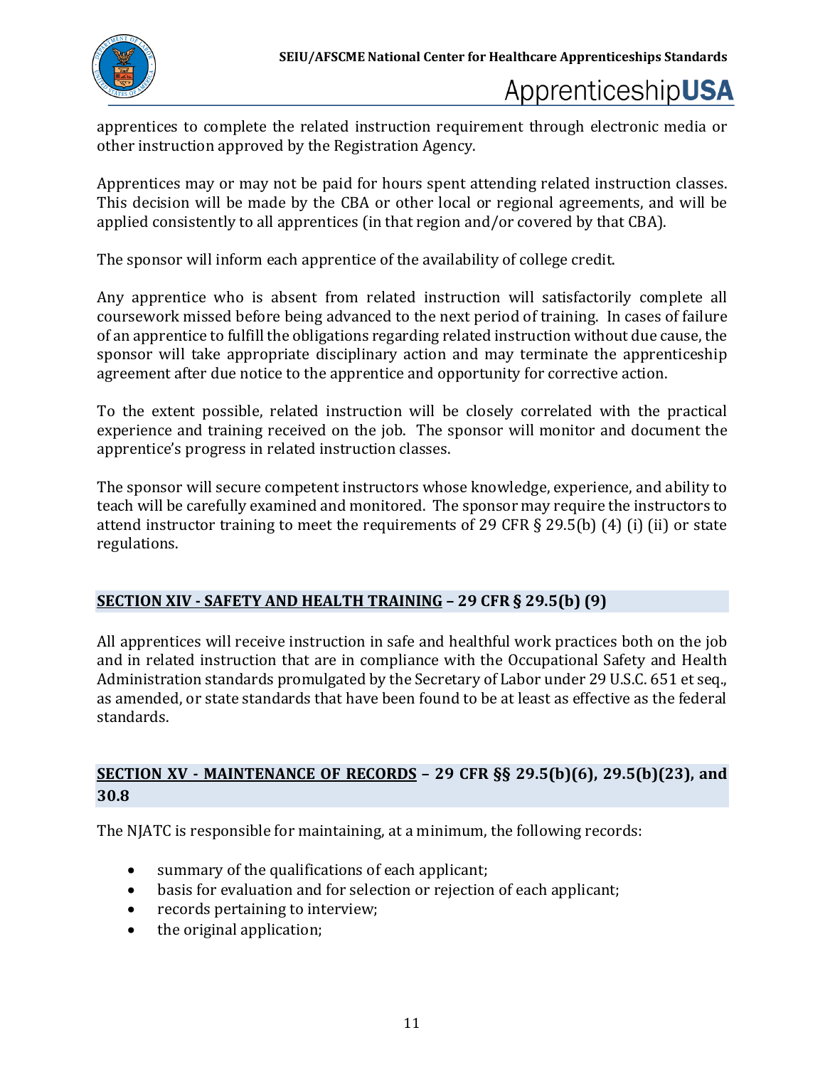

apprentices to complete the related instruction requirement through electronic media or other instruction approved by the Registration Agency.

Apprentices may or may not be paid for hours spent attending related instruction classes. This decision will be made by the CBA or other local or regional agreements, and will be applied consistently to all apprentices (in that region and/or covered by that CBA).

The sponsor will inform each apprentice of the availability of college credit.

Any apprentice who is absent from related instruction will satisfactorily complete all coursework missed before being advanced to the next period of training. In cases of failure of an apprentice to fulfill the obligations regarding related instruction without due cause, the sponsor will take appropriate disciplinary action and may terminate the apprenticeship agreement after due notice to the apprentice and opportunity for corrective action.

To the extent possible, related instruction will be closely correlated with the practical experience and training received on the job. The sponsor will monitor and document the apprentice's progress in related instruction classes.

The sponsor will secure competent instructors whose knowledge, experience, and ability to teach will be carefully examined and monitored. The sponsor may require the instructors to attend instructor training to meet the requirements of 29 CFR  $\S$  29.5(b) (4) (i) (ii) or state regulations.

#### **SECTION XIV - SAFETY AND HEALTH TRAINING - 29 CFR § 29.5(b) (9)**

All apprentices will receive instruction in safe and healthful work practices both on the job and in related instruction that are in compliance with the Occupational Safety and Health Administration standards promulgated by the Secretary of Labor under 29 U.S.C. 651 et seq., as amended, or state standards that have been found to be at least as effective as the federal standards.

#### **SECTION XV - MAINTENANCE OF RECORDS – 29 CFR §§ 29.5(b)(6), 29.5(b)(23), and 30.8**

The NJATC is responsible for maintaining, at a minimum, the following records:

- summary of the qualifications of each applicant;
- basis for evaluation and for selection or rejection of each applicant;
- records pertaining to interview;
- the original application;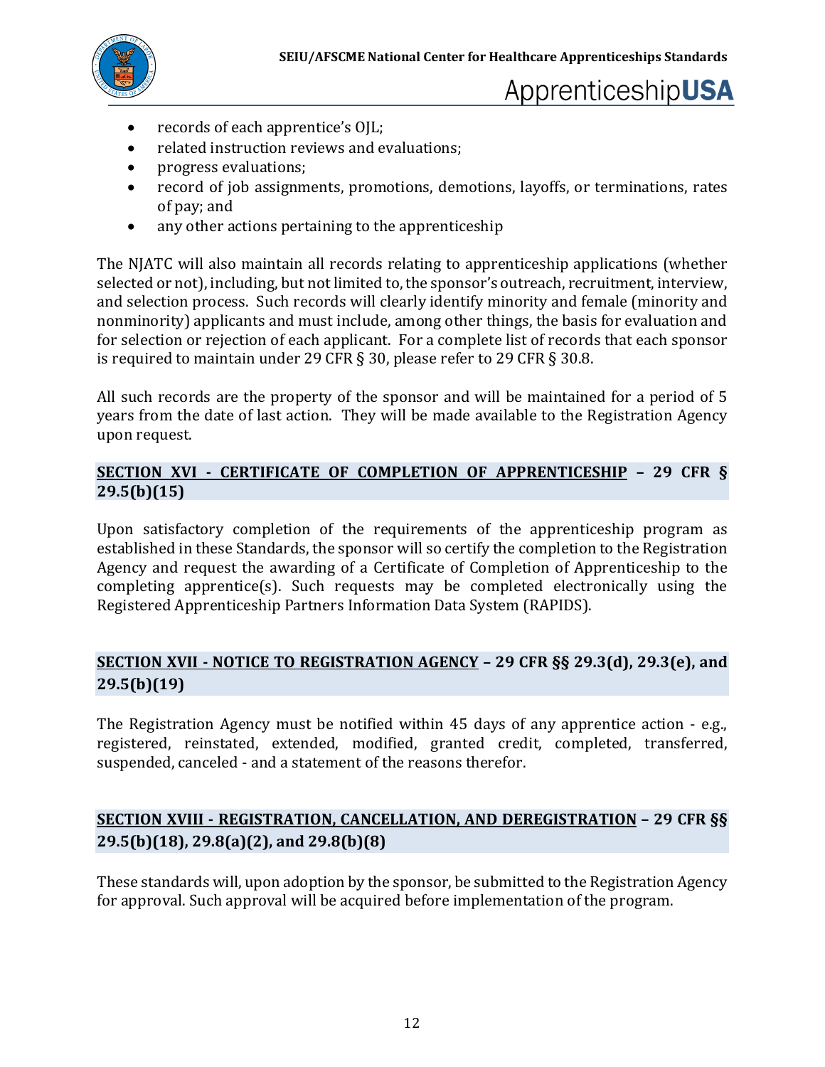

- records of each apprentice's OJL;
- related instruction reviews and evaluations;
- progress evaluations;
- record of job assignments, promotions, demotions, layoffs, or terminations, rates of pay; and
- any other actions pertaining to the apprenticeship

The NJATC will also maintain all records relating to apprenticeship applications (whether selected or not), including, but not limited to, the sponsor's outreach, recruitment, interview, and selection process. Such records will clearly identify minority and female (minority and nonminority) applicants and must include, among other things, the basis for evaluation and for selection or rejection of each applicant. For a complete list of records that each sponsor is required to maintain under 29 CFR  $\S$  30, please refer to 29 CFR  $\S$  30.8.

All such records are the property of the sponsor and will be maintained for a period of 5 years from the date of last action. They will be made available to the Registration Agency upon request.

#### **SECTION XVI - CERTIFICATE OF COMPLETION OF APPRENTICESHIP – 29 CFR § 29.5(b)(15)**

Upon satisfactory completion of the requirements of the apprenticeship program as established in these Standards, the sponsor will so certify the completion to the Registration Agency and request the awarding of a Certificate of Completion of Apprenticeship to the completing apprentice(s). Such requests may be completed electronically using the Registered Apprenticeship Partners Information Data System (RAPIDS).

#### **SECTION XVII - NOTICE TO REGISTRATION AGENCY - 29 CFR §§ 29.3(d), 29.3(e), and 29.5(b)(19)**

The Registration Agency must be notified within  $45$  days of any apprentice action - e.g., registered, reinstated, extended, modified, granted credit, completed, transferred, suspended, canceled - and a statement of the reasons therefor.

#### **SECTION XVIII - REGISTRATION, CANCELLATION, AND DEREGISTRATION – 29 CFR §§ 29.5(b)(18), 29.8(a)(2), and 29.8(b)(8)**

These standards will, upon adoption by the sponsor, be submitted to the Registration Agency for approval. Such approval will be acquired before implementation of the program.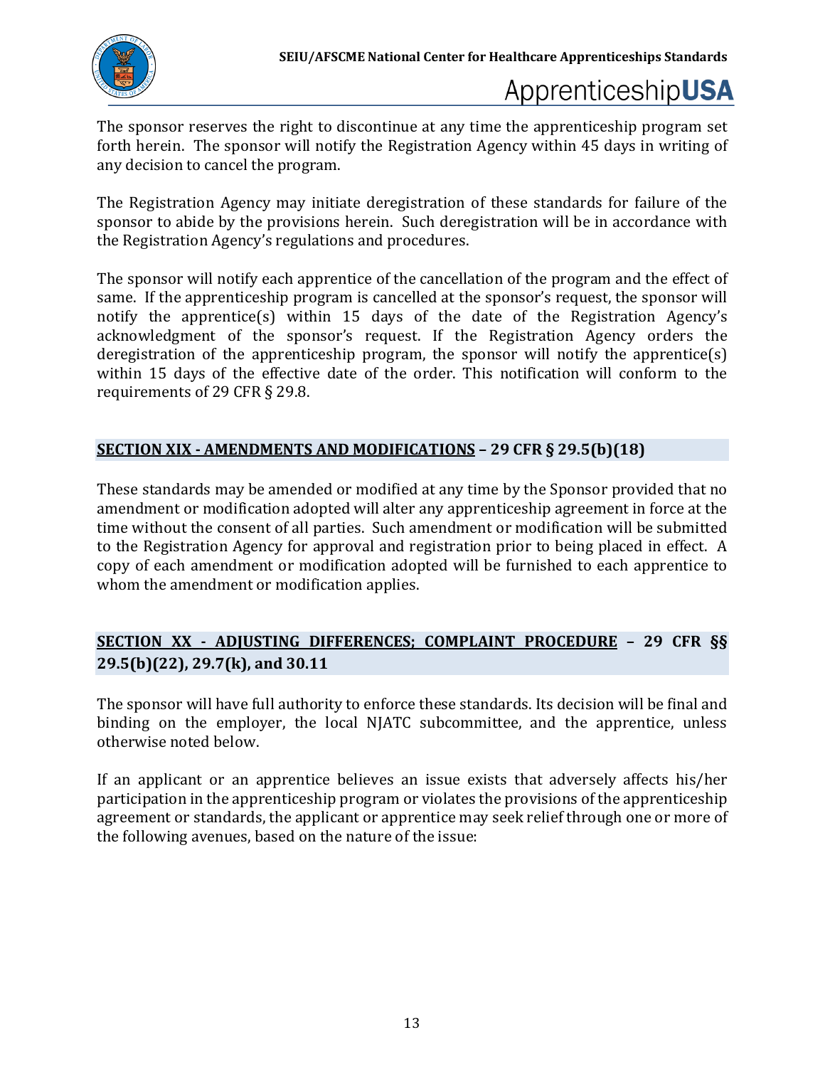

The sponsor reserves the right to discontinue at any time the apprenticeship program set forth herein. The sponsor will notify the Registration Agency within 45 days in writing of any decision to cancel the program.

The Registration Agency may initiate deregistration of these standards for failure of the sponsor to abide by the provisions herein. Such deregistration will be in accordance with the Registration Agency's regulations and procedures.

The sponsor will notify each apprentice of the cancellation of the program and the effect of same. If the apprenticeship program is cancelled at the sponsor's request, the sponsor will notify the apprentice(s) within 15 days of the date of the Registration Agency's acknowledgment of the sponsor's request. If the Registration Agency orders the deregistration of the apprenticeship program, the sponsor will notify the apprentice(s) within 15 days of the effective date of the order. This notification will conform to the requirements of 29 CFR § 29.8.

#### **SECTION XIX - AMENDMENTS AND MODIFICATIONS – 29 CFR § 29.5(b)(18)**

These standards may be amended or modified at any time by the Sponsor provided that no amendment or modification adopted will alter any apprenticeship agreement in force at the time without the consent of all parties. Such amendment or modification will be submitted to the Registration Agency for approval and registration prior to being placed in effect. A copy of each amendment or modification adopted will be furnished to each apprentice to whom the amendment or modification applies.

#### **SECTION XX - ADJUSTING DIFFERENCES; COMPLAINT PROCEDURE – 29 CFR §§ 29.5(b)(22), 29.7(k), and 30.11**

The sponsor will have full authority to enforce these standards. Its decision will be final and binding on the employer, the local NJATC subcommittee, and the apprentice, unless otherwise noted below.

If an applicant or an apprentice believes an issue exists that adversely affects his/her participation in the apprenticeship program or violates the provisions of the apprenticeship agreement or standards, the applicant or apprentice may seek relief through one or more of the following avenues, based on the nature of the issue: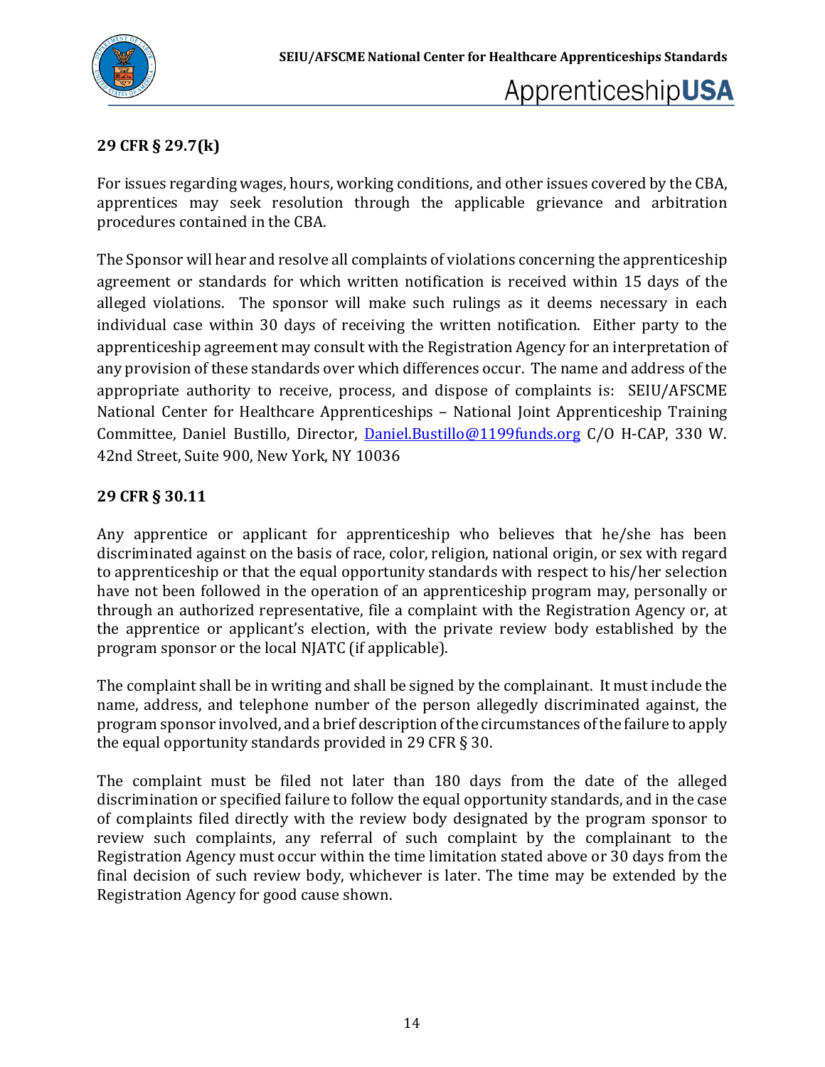

### **29 CFR § 29.7(k)**

For issues regarding wages, hours, working conditions, and other issues covered by the CBA, apprentices may seek resolution through the applicable grievance and arbitration procedures contained in the CBA.

The Sponsor will hear and resolve all complaints of violations concerning the apprenticeship agreement or standards for which written notification is received within 15 days of the alleged violations. The sponsor will make such rulings as it deems necessary in each individual case within 30 days of receiving the written notification. Either party to the apprenticeship agreement may consult with the Registration Agency for an interpretation of any provision of these standards over which differences occur. The name and address of the appropriate authority to receive, process, and dispose of complaints is: SEIU/AFSCME National Center for Healthcare Apprenticeships - National Joint Apprenticeship Training Committee, Daniel Bustillo, Director, *Daniel.Bustillo@1199funds.org C/O H-CAP*, 330 W. 42nd Street, Suite 900, New York, NY 10036

#### **29 CFR § 30.11**

Any apprentice or applicant for apprenticeship who believes that he/she has been discriminated against on the basis of race, color, religion, national origin, or sex with regard to apprenticeship or that the equal opportunity standards with respect to his/her selection have not been followed in the operation of an apprenticeship program may, personally or through an authorized representative, file a complaint with the Registration Agency or, at the apprentice or applicant's election, with the private review body established by the program sponsor or the local NJATC (if applicable).

The complaint shall be in writing and shall be signed by the complainant. It must include the name, address, and telephone number of the person allegedly discriminated against, the program sponsor involved, and a brief description of the circumstances of the failure to apply the equal opportunity standards provided in 29 CFR  $\S$  30.

The complaint must be filed not later than 180 days from the date of the alleged discrimination or specified failure to follow the equal opportunity standards, and in the case of complaints filed directly with the review body designated by the program sponsor to review such complaints, any referral of such complaint by the complainant to the Registration Agency must occur within the time limitation stated above or 30 days from the final decision of such review body, whichever is later. The time may be extended by the Registration Agency for good cause shown.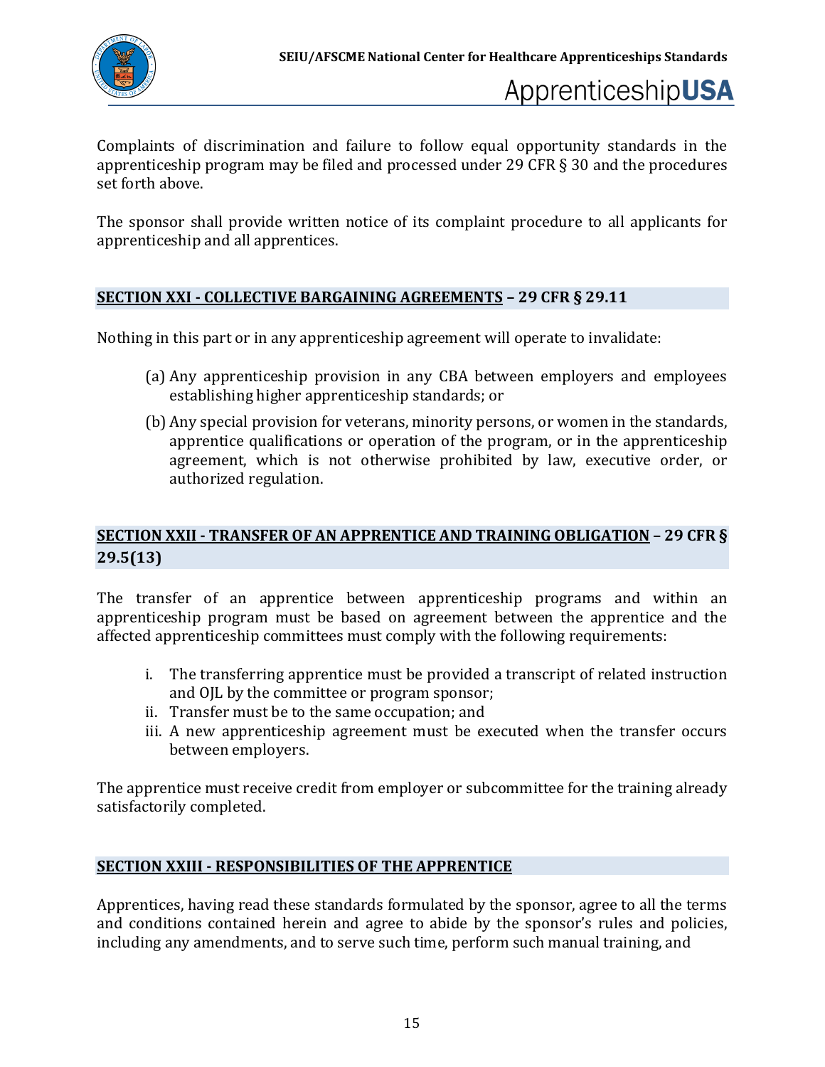

Complaints of discrimination and failure to follow equal opportunity standards in the apprenticeship program may be filed and processed under  $29$  CFR § 30 and the procedures set forth above.

The sponsor shall provide written notice of its complaint procedure to all applicants for apprenticeship and all apprentices.

#### **SECTION XXI - COLLECTIVE BARGAINING AGREEMENTS – 29 CFR § 29.11**

Nothing in this part or in any apprenticeship agreement will operate to invalidate:

- (a) Any apprenticeship provision in any CBA between employers and employees establishing higher apprenticeship standards; or
- (b) Any special provision for veterans, minority persons, or women in the standards, apprentice qualifications or operation of the program, or in the apprenticeship agreement, which is not otherwise prohibited by law, executive order, or authorized regulation.

#### **SECTION XXII - TRANSFER OF AN APPRENTICE AND TRAINING OBLIGATION – 29 CFR § 29.5(13)**

The transfer of an apprentice between apprenticeship programs and within an apprenticeship program must be based on agreement between the apprentice and the affected apprenticeship committees must comply with the following requirements:

- i. The transferring apprentice must be provided a transcript of related instruction and OJL by the committee or program sponsor;
- ii. Transfer must be to the same occupation; and
- iii. A new apprenticeship agreement must be executed when the transfer occurs between employers.

The apprentice must receive credit from employer or subcommittee for the training already satisfactorily completed.

#### **SECTION XXIII - RESPONSIBILITIES OF THE APPRENTICE**

Apprentices, having read these standards formulated by the sponsor, agree to all the terms and conditions contained herein and agree to abide by the sponsor's rules and policies, including any amendments, and to serve such time, perform such manual training, and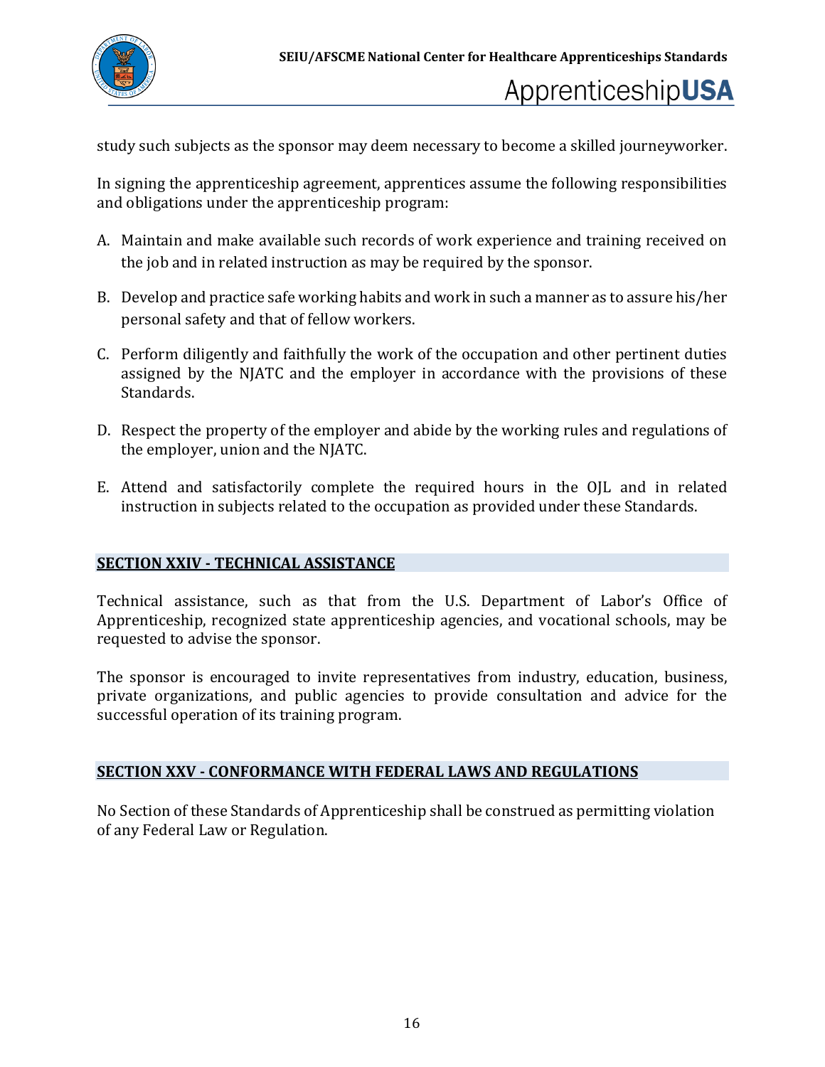

study such subjects as the sponsor may deem necessary to become a skilled journeyworker.

In signing the apprenticeship agreement, apprentices assume the following responsibilities and obligations under the apprenticeship program:

- A. Maintain and make available such records of work experience and training received on the job and in related instruction as may be required by the sponsor.
- B. Develop and practice safe working habits and work in such a manner as to assure his/her personal safety and that of fellow workers.
- C. Perform diligently and faithfully the work of the occupation and other pertinent duties assigned by the NJATC and the employer in accordance with the provisions of these Standards.
- D. Respect the property of the employer and abide by the working rules and regulations of the employer, union and the NJATC.
- E. Attend and satisfactorily complete the required hours in the OJL and in related instruction in subjects related to the occupation as provided under these Standards.

#### **SECTION XXIV - TECHNICAL ASSISTANCE**

Technical assistance, such as that from the U.S. Department of Labor's Office of Apprenticeship, recognized state apprenticeship agencies, and vocational schools, may be requested to advise the sponsor.

The sponsor is encouraged to invite representatives from industry, education, business, private organizations, and public agencies to provide consultation and advice for the successful operation of its training program.

#### **SECTION XXV - CONFORMANCE WITH FEDERAL LAWS AND REGULATIONS**

No Section of these Standards of Apprenticeship shall be construed as permitting violation of any Federal Law or Regulation.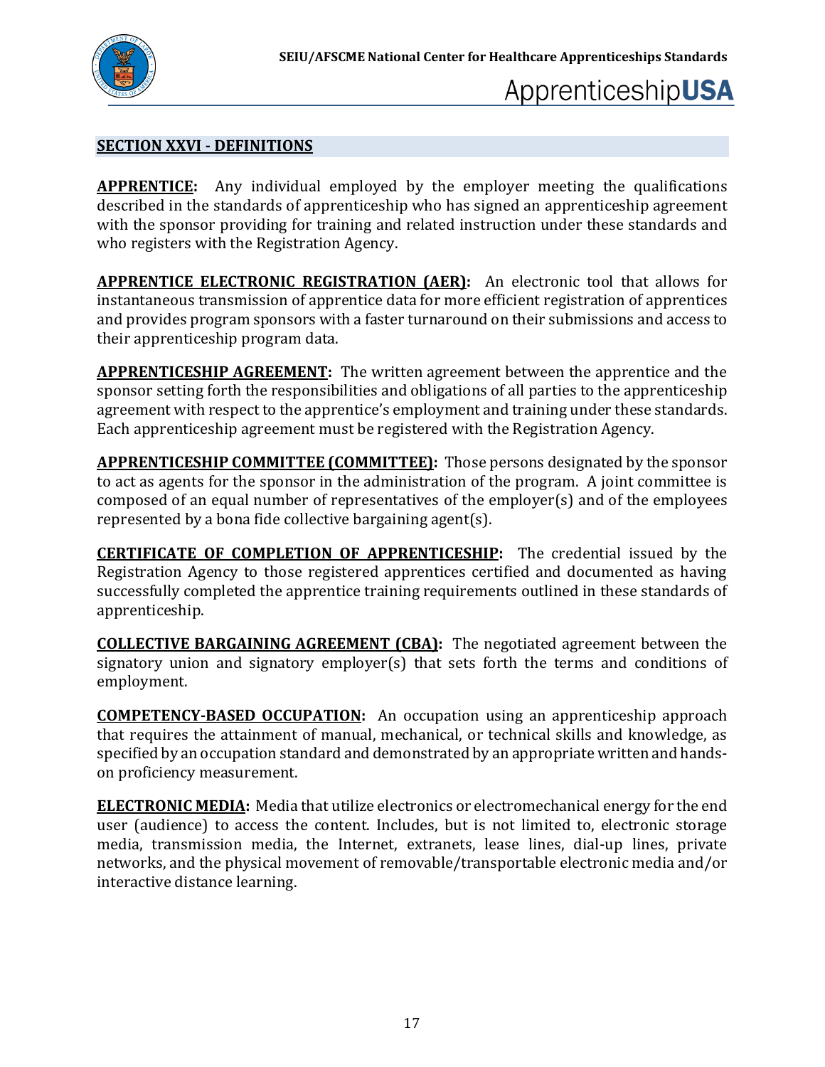

#### **SECTION XXVI - DEFINITIONS**

**APPRENTICE:** Any individual employed by the employer meeting the qualifications described in the standards of apprenticeship who has signed an apprenticeship agreement with the sponsor providing for training and related instruction under these standards and who registers with the Registration Agency.

**APPRENTICE ELECTRONIC REGISTRATION (AER):** An electronic tool that allows for instantaneous transmission of apprentice data for more efficient registration of apprentices and provides program sponsors with a faster turnaround on their submissions and access to their apprenticeship program data.

**APPRENTICESHIP AGREEMENT:** The written agreement between the apprentice and the sponsor setting forth the responsibilities and obligations of all parties to the apprenticeship agreement with respect to the apprentice's employment and training under these standards. Each apprenticeship agreement must be registered with the Registration Agency.

**APPRENTICESHIP COMMITTEE (COMMITTEE):** Those persons designated by the sponsor to act as agents for the sponsor in the administration of the program. A joint committee is composed of an equal number of representatives of the employer(s) and of the employees represented by a bona fide collective bargaining agent(s).

**CERTIFICATE OF COMPLETION OF APPRENTICESHIP:** The credential issued by the Registration Agency to those registered apprentices certified and documented as having successfully completed the apprentice training requirements outlined in these standards of apprenticeship.

**COLLECTIVE BARGAINING AGREEMENT (CBA):** The negotiated agreement between the signatory union and signatory employer(s) that sets forth the terms and conditions of employment.

**COMPETENCY-BASED OCCUPATION:** An occupation using an apprenticeship approach that requires the attainment of manual, mechanical, or technical skills and knowledge, as specified by an occupation standard and demonstrated by an appropriate written and handson proficiency measurement.

**ELECTRONIC MEDIA:** Media that utilize electronics or electromechanical energy for the end user (audience) to access the content. Includes, but is not limited to, electronic storage media, transmission media, the Internet, extranets, lease lines, dial-up lines, private networks, and the physical movement of removable/transportable electronic media and/or interactive distance learning.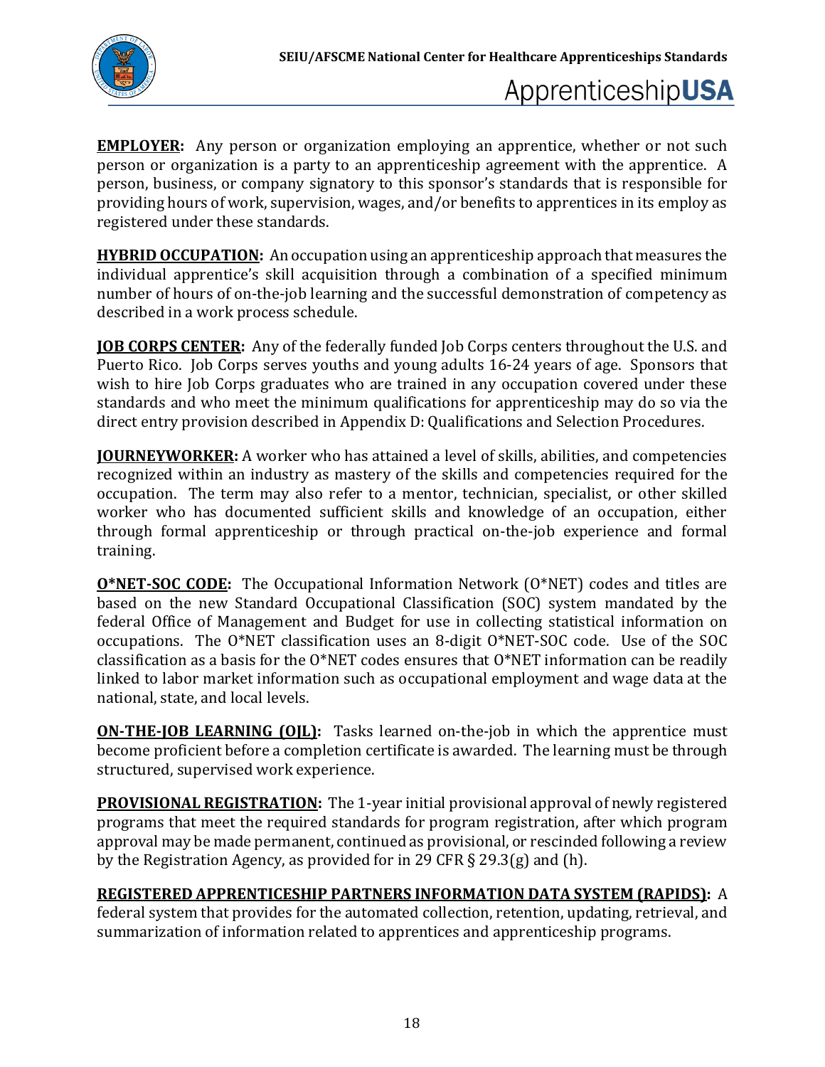

**EMPLOYER:** Any person or organization employing an apprentice, whether or not such person or organization is a party to an apprenticeship agreement with the apprentice. A person, business, or company signatory to this sponsor's standards that is responsible for providing hours of work, supervision, wages, and/or benefits to apprentices in its employ as registered under these standards.

**HYBRID OCCUPATION:** An occupation using an apprenticeship approach that measures the individual apprentice's skill acquisition through a combination of a specified minimum number of hours of on-the-job learning and the successful demonstration of competency as described in a work process schedule.

**JOB CORPS CENTER:** Any of the federally funded Job Corps centers throughout the U.S. and Puerto Rico. Job Corps serves youths and young adults 16-24 years of age. Sponsors that wish to hire Job Corps graduates who are trained in any occupation covered under these standards and who meet the minimum qualifications for apprenticeship may do so via the direct entry provision described in Appendix D: Qualifications and Selection Procedures.

**JOURNEYWORKER:** A worker who has attained a level of skills, abilities, and competencies recognized within an industry as mastery of the skills and competencies required for the occupation. The term may also refer to a mentor, technician, specialist, or other skilled worker who has documented sufficient skills and knowledge of an occupation, either through formal apprenticeship or through practical on-the-job experience and formal training.

**O\*NET-SOC CODE:** The Occupational Information Network (O\*NET) codes and titles are based on the new Standard Occupational Classification (SOC) system mandated by the federal Office of Management and Budget for use in collecting statistical information on occupations. The  $O^*NET$  classification uses an 8-digit  $O^*NET-SOC$  code. Use of the SOC classification as a basis for the  $O^*NET$  codes ensures that  $O^*NET$  information can be readily linked to labor market information such as occupational employment and wage data at the national, state, and local levels.

**ON-THE-JOB LEARNING (OIL):** Tasks learned on-the-job in which the apprentice must become proficient before a completion certificate is awarded. The learning must be through structured, supervised work experience.

**PROVISIONAL REGISTRATION:** The 1-year initial provisional approval of newly registered programs that meet the required standards for program registration, after which program approval may be made permanent, continued as provisional, or rescinded following a review by the Registration Agency, as provided for in 29 CFR  $\S$  29.3(g) and (h).

#### **REGISTERED APPRENTICESHIP PARTNERS INFORMATION DATA SYSTEM (RAPIDS):** A federal system that provides for the automated collection, retention, updating, retrieval, and

summarization of information related to apprentices and apprenticeship programs.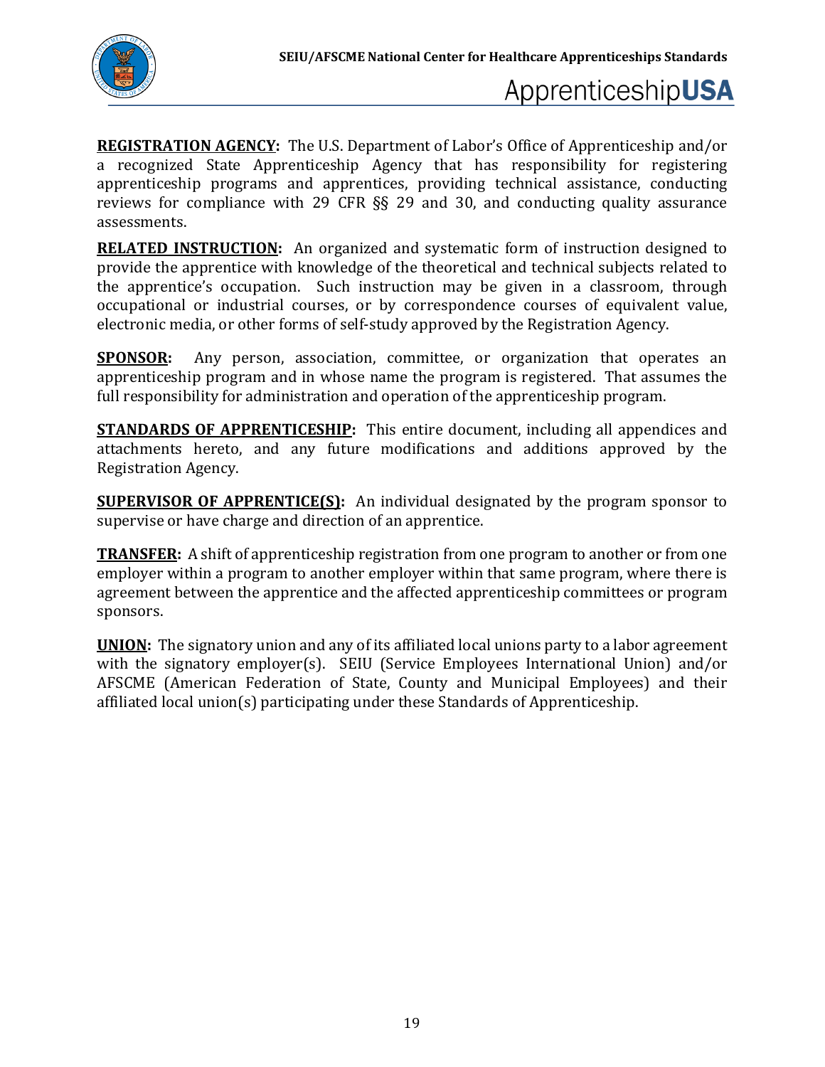

**REGISTRATION AGENCY:** The U.S. Department of Labor's Office of Apprenticeship and/or a recognized State Apprenticeship Agency that has responsibility for registering apprenticeship programs and apprentices, providing technical assistance, conducting reviews for compliance with 29 CFR  $\S$ § 29 and 30, and conducting quality assurance assessments. 

**RELATED INSTRUCTION:** An organized and systematic form of instruction designed to provide the apprentice with knowledge of the theoretical and technical subjects related to the apprentice's occupation. Such instruction may be given in a classroom, through occupational or industrial courses, or by correspondence courses of equivalent value, electronic media, or other forms of self-study approved by the Registration Agency.

**SPONSOR:** Any person, association, committee, or organization that operates an apprenticeship program and in whose name the program is registered. That assumes the full responsibility for administration and operation of the apprenticeship program.

**STANDARDS OF APPRENTICESHIP:** This entire document, including all appendices and attachments hereto, and any future modifications and additions approved by the Registration Agency.

**SUPERVISOR OF APPRENTICE(S):** An individual designated by the program sponsor to supervise or have charge and direction of an apprentice.

**TRANSFER:** A shift of apprenticeship registration from one program to another or from one  $\overline{\text{employee}}$  within a program to another employer within that same program, where there is agreement between the apprentice and the affected apprenticeship committees or program sponsors.

**UNION:** The signatory union and any of its affiliated local unions party to a labor agreement with the signatory employer(s). SEIU (Service Employees International Union) and/or AFSCME (American Federation of State, County and Municipal Employees) and their affiliated local union(s) participating under these Standards of Apprenticeship.